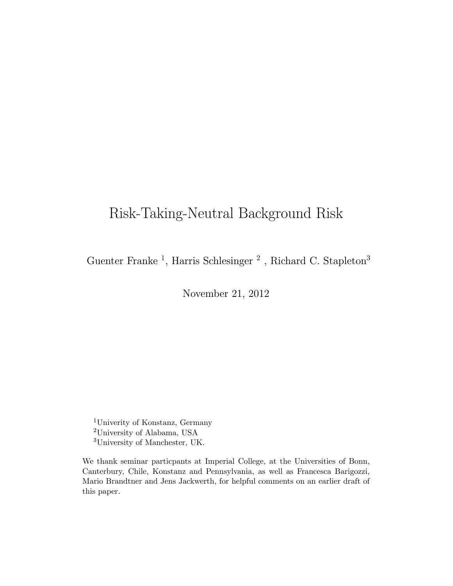# Risk-Taking-Neutral Background Risk

Guenter Franke<sup>1</sup>, Harris Schlesinger<sup>2</sup>, Richard C. Stapleton<sup>3</sup>

November 21, 2012

<sup>1</sup>Univerity of Konstanz, Germany <sup>2</sup>University of Alabama, USA <sup>3</sup>University of Manchester, UK.

We thank seminar particpants at Imperial College, at the Universities of Bonn, Canterbury, Chile, Konstanz and Pennsylvania, as well as Francesca Barigozzi, Mario Brandtner and Jens Jackwerth, for helpful comments on an earlier draft of this paper.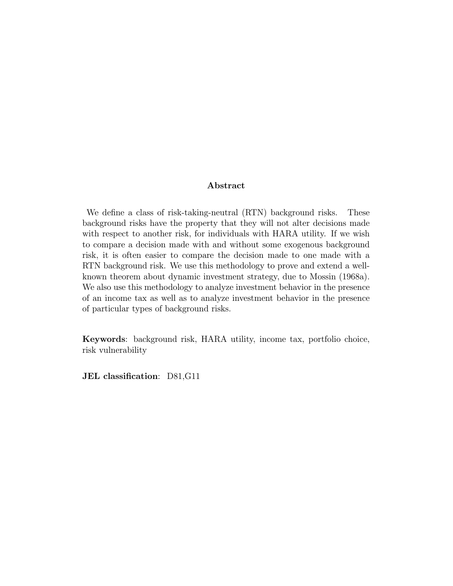#### Abstract

We define a class of risk-taking-neutral (RTN) background risks. These background risks have the property that they will not alter decisions made with respect to another risk, for individuals with HARA utility. If we wish to compare a decision made with and without some exogenous background risk, it is often easier to compare the decision made to one made with a RTN background risk. We use this methodology to prove and extend a wellknown theorem about dynamic investment strategy, due to Mossin (1968a). We also use this methodology to analyze investment behavior in the presence of an income tax as well as to analyze investment behavior in the presence of particular types of background risks.

Keywords: background risk, HARA utility, income tax, portfolio choice, risk vulnerability

JEL classification: D81,G11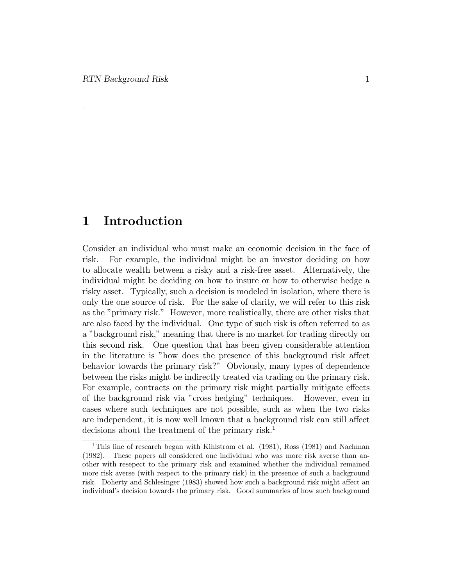.

#### 1 Introduction

Consider an individual who must make an economic decision in the face of risk. For example, the individual might be an investor deciding on how to allocate wealth between a risky and a risk-free asset. Alternatively, the individual might be deciding on how to insure or how to otherwise hedge a risky asset. Typically, such a decision is modeled in isolation, where there is only the one source of risk. For the sake of clarity, we will refer to this risk as the "primary risk." However, more realistically, there are other risks that are also faced by the individual. One type of such risk is often referred to as a "background risk," meaning that there is no market for trading directly on this second risk. One question that has been given considerable attention in the literature is "how does the presence of this background risk affect behavior towards the primary risk?" Obviously, many types of dependence between the risks might be indirectly treated via trading on the primary risk. For example, contracts on the primary risk might partially mitigate effects of the background risk via "cross hedging" techniques. However, even in cases where such techniques are not possible, such as when the two risks are independent, it is now well known that a background risk can still affect decisions about the treatment of the primary risk.<sup>1</sup>

<sup>&</sup>lt;sup>1</sup>This line of research began with Kihlstrom et al. (1981), Ross (1981) and Nachman (1982). These papers all considered one individual who was more risk averse than another with resepect to the primary risk and examined whether the individual remained more risk averse (with respect to the primary risk) in the presence of such a background risk. Doherty and Schlesinger (1983) showed how such a background risk might affect an individual's decision towards the primary risk. Good summaries of how such background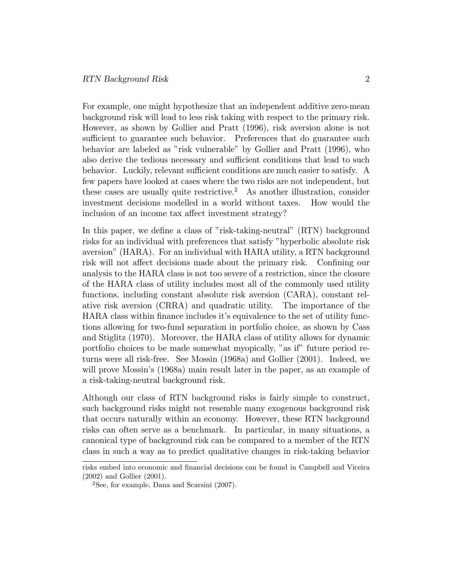For example, one might hypothesize that an independent additive zero-mean background risk will lead to less risk taking with respect to the primary risk. However, as shown by Gollier and Pratt (1996), risk aversion alone is not sufficient to guarantee such behavior. Preferences that do guarantee such behavior are labeled as "risk vulnerable" by Gollier and Pratt (1996), who also derive the tedious necessary and sufficient conditions that lead to such behavior. Luckily, relevant sufficient conditions are much easier to satisfy. A few papers have looked at cases where the two risks are not independent, but these cases are usually quite restrictive.<sup>2</sup> As another illustration, consider investment decisions modelled in a world without taxes. How would the inclusion of an income tax affect investment strategy?

In this paper, we define a class of "risk-taking-neutral" (RTN) background risks for an individual with preferences that satisfy "hyperbolic absolute risk aversion" (HARA). For an individual with HARA utility, a RTN background risk will not affect decisions made about the primary risk. Confining our analysis to the HARA class is not too severe of a restriction, since the closure of the HARA class of utility includes most all of the commonly used utility functions, including constant absolute risk aversion (CARA), constant relative risk aversion (CRRA) and quadratic utility. The importance of the HARA class within nance includes it's equivalence to the set of utility functions allowing for two-fund separation in portfolio choice, as shown by Cass and Stiglitz (1970). Moreover, the HARA class of utility allows for dynamic portfolio choices to be made somewhat myopically, "as if" future period returns were all risk-free. See Mossin (1968a) and Gollier (2001). Indeed, we will prove Mossin's (1968a) main result later in the paper, as an example of a risk-taking-neutral background risk.

Although our class of RTN background risks is fairly simple to construct, such background risks might not resemble many exogenous background risk that occurs naturally within an economy. However, these RTN background risks can often serve as a benchmark. In particular, in many situations, a canonical type of background risk can be compared to a member of the RTN class in such a way as to predict qualitative changes in risk-taking behavior

risks embed into economic and financial decisions can be found in Campbell and Viceira (2002) and Gollier (2001).

 ${}^{2}$ See, for example, Dana and Scarsini (2007).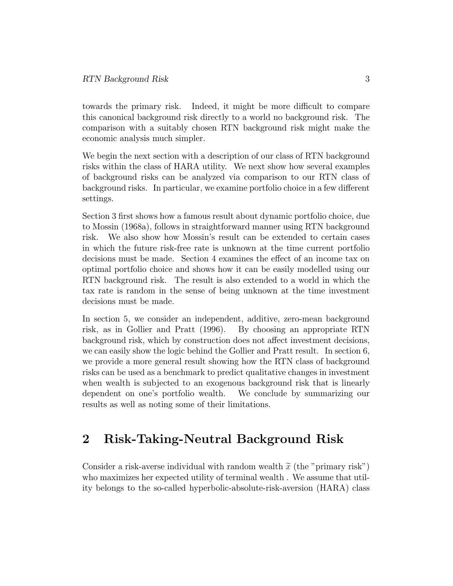towards the primary risk. Indeed, it might be more difficult to compare this canonical background risk directly to a world no background risk. The comparison with a suitably chosen RTN background risk might make the economic analysis much simpler.

We begin the next section with a description of our class of RTN background risks within the class of HARA utility. We next show how several examples of background risks can be analyzed via comparison to our RTN class of background risks. In particular, we examine portfolio choice in a few different settings.

Section 3 first shows how a famous result about dynamic portfolio choice, due to Mossin (1968a), follows in straightforward manner using RTN background risk. We also show how Mossin's result can be extended to certain cases in which the future risk-free rate is unknown at the time current portfolio decisions must be made. Section 4 examines the effect of an income tax on optimal portfolio choice and shows how it can be easily modelled using our RTN background risk. The result is also extended to a world in which the tax rate is random in the sense of being unknown at the time investment decisions must be made.

In section 5, we consider an independent, additive, zero-mean background risk, as in Gollier and Pratt (1996). By choosing an appropriate RTN background risk, which by construction does not affect investment decisions, we can easily show the logic behind the Gollier and Pratt result. In section 6, we provide a more general result showing how the RTN class of background risks can be used as a benchmark to predict qualitative changes in investment when wealth is subjected to an exogenous background risk that is linearly dependent on one's portfolio wealth. We conclude by summarizing our results as well as noting some of their limitations.

#### 2 Risk-Taking-Neutral Background Risk

Consider a risk-averse individual with random wealth  $\tilde{x}$  (the "primary risk") who maximizes her expected utility of terminal wealth . We assume that utility belongs to the so-called hyperbolic-absolute-risk-aversion (HARA) class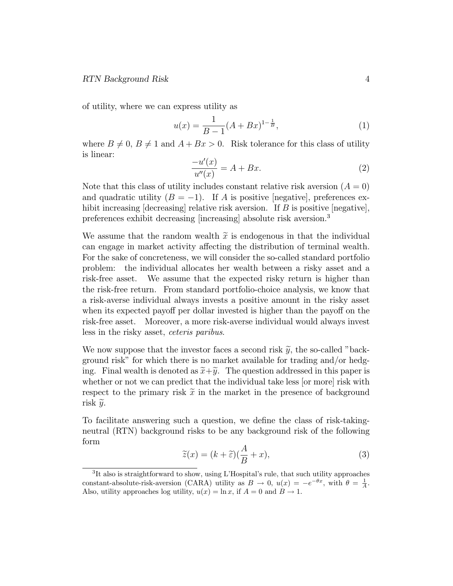of utility, where we can express utility as

$$
u(x) = \frac{1}{B-1}(A+Bx)^{1-\frac{1}{B}},
$$
\n(1)

where  $B \neq 0$ ,  $B \neq 1$  and  $A + Bx > 0$ . Risk tolerance for this class of utility is linear:

$$
\frac{-u'(x)}{u''(x)} = A + Bx.\tag{2}
$$

Note that this class of utility includes constant relative risk aversion  $(A = 0)$ and quadratic utility  $(B = -1)$ . If A is positive negative, preferences exhibit increasing  $\left[\right]$  decreasing relative risk aversion. If B is positive  $\left[\right]$  negative preferences exhibit decreasing [increasing] absolute risk aversion.<sup>3</sup>

We assume that the random wealth  $\tilde{x}$  is endogenous in that the individual can engage in market activity affecting the distribution of terminal wealth. For the sake of concreteness, we will consider the so-called standard portfolio problem: the individual allocates her wealth between a risky asset and a risk-free asset. We assume that the expected risky return is higher than the risk-free return. From standard portfolio-choice analysis, we know that a risk-averse individual always invests a positive amount in the risky asset when its expected payoff per dollar invested is higher than the payoff on the risk-free asset. Moreover, a more risk-averse individual would always invest less in the risky asset, ceteris paribus.

We now suppose that the investor faces a second risk  $\tilde{y}$ , the so-called "background risk" for which there is no market available for trading and/or hedging. Final wealth is denoted as  $\tilde{x}+\tilde{y}$ . The question addressed in this paper is whether or not we can predict that the individual take less [or more] risk with respect to the primary risk  $\tilde{x}$  in the market in the presence of background risk  $\widetilde{y}$ .

To facilitate answering such a question, we define the class of risk-takingneutral (RTN) background risks to be any background risk of the following form

$$
\widetilde{z}(x) = (k + \widetilde{\varepsilon})(\frac{A}{B} + x),\tag{3}
$$

<sup>&</sup>lt;sup>3</sup>It also is straightforward to show, using L'Hospital's rule, that such utility approaches constant-absolute-risk-aversion (CARA) utility as  $B \to 0$ ,  $u(x) = -e^{-\theta x}$ , with  $\theta = \frac{1}{A}$ . Also, utility approaches log utility,  $u(x) = \ln x$ , if  $A = 0$  and  $B \to 1$ .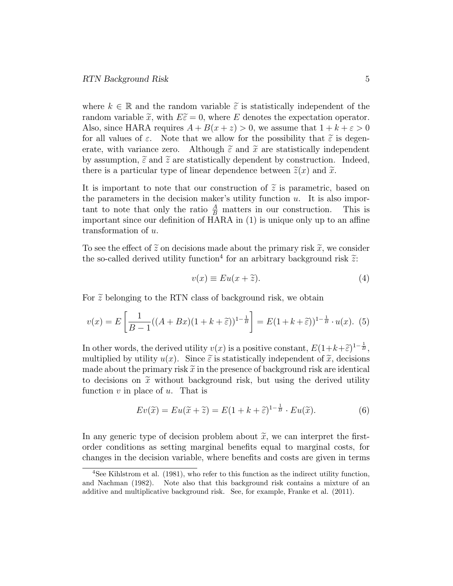where  $k \in \mathbb{R}$  and the random variable  $\tilde{\varepsilon}$  is statistically independent of the random variable  $\tilde{x}$ , with  $E\tilde{\epsilon}=0$ , where E denotes the expectation operator. Also, since HARA requires  $A + B(x + z) > 0$ , we assume that  $1 + k + \varepsilon > 0$ for all values of  $\varepsilon$ . Note that we allow for the possibility that  $\tilde{\varepsilon}$  is degenerate, with variance zero. Although  $\tilde{\varepsilon}$  and  $\tilde{x}$  are statistically independent by assumption,  $\tilde{\varepsilon}$  and  $\tilde{\varepsilon}$  are statistically dependent by construction. Indeed, there is a particular type of linear dependence between  $\tilde{z}(x)$  and  $\tilde{x}$ .

It is important to note that our construction of  $\tilde{z}$  is parametric, based on the parameters in the decision maker's utility function  $u$ . It is also important to note that only the ratio  $\frac{A}{B}$  matters in our construction. This is important since our definition of HARA in  $(1)$  is unique only up to an affine transformation of u.

To see the effect of  $\tilde{z}$  on decisions made about the primary risk  $\tilde{x}$ , we consider the so-called derived utility function<sup>4</sup> for an arbitrary background risk  $\tilde{z}$ :

$$
v(x) \equiv Eu(x + \tilde{z}).\tag{4}
$$

For  $\tilde{z}$  belonging to the RTN class of background risk, we obtain

$$
v(x) = E\left[\frac{1}{B-1}((A+Bx)(1+k+\tilde{\varepsilon}))^{1-\frac{1}{B}}\right] = E(1+k+\tilde{\varepsilon}))^{1-\frac{1}{B}} \cdot u(x). (5)
$$

In other words, the derived utility  $v(x)$  is a positive constant,  $E(1+k+\tilde{\varepsilon})^{1-\frac{1}{B}}$ , multiplied by utility  $u(x)$ . Since  $\tilde{\varepsilon}$  is statistically independent of  $\tilde{x}$ , decisions made about the primary risk  $\tilde{x}$  in the presence of background risk are identical to decisions on  $\tilde{x}$  without background risk, but using the derived utility function  $v$  in place of  $u$ . That is

$$
Ev(\widetilde{x}) = Eu(\widetilde{x} + \widetilde{z}) = E(1 + k + \widetilde{\varepsilon})^{1 - \frac{1}{B}} \cdot Eu(\widetilde{x}).
$$
\n(6)

In any generic type of decision problem about  $\tilde{x}$ , we can interpret the firstorder conditions as setting marginal benets equal to marginal costs, for changes in the decision variable, where benets and costs are given in terms

<sup>4</sup>See Kihlstrom et al. (1981), who refer to this function as the indirect utility function, and Nachman (1982). Note also that this background risk contains a mixture of an additive and multiplicative background risk. See, for example, Franke et al. (2011).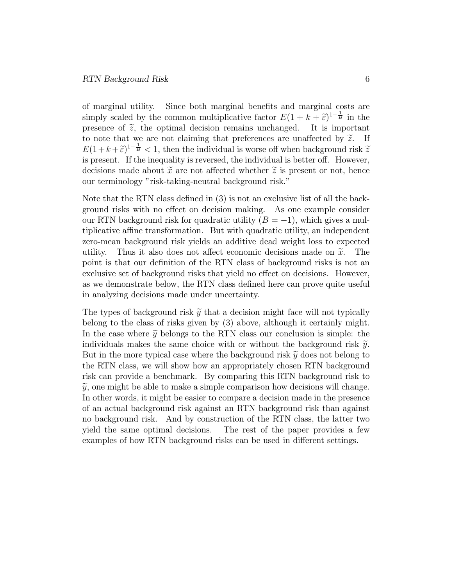of marginal utility. Since both marginal benets and marginal costs are simply scaled by the common multiplicative factor  $E(1 + k + \tilde{\epsilon})^{1-\frac{1}{B}}$  in the presence of  $\tilde{z}$ , the optimal decision remains unchanged. It is important to note that we are not claiming that preferences are unaffected by  $\tilde{z}$ . If  $E(1 + k + \tilde{\varepsilon})^{1 - \frac{1}{B}} < 1$ , then the individual is worse off when background risk  $\tilde{z}$ is present. If the inequality is reversed, the individual is better off. However, decisions made about  $\tilde{x}$  are not affected whether  $\tilde{z}$  is present or not, hence our terminology "risk-taking-neutral background risk."

Note that the RTN class defined in  $(3)$  is not an exclusive list of all the background risks with no effect on decision making. As one example consider our RTN background risk for quadratic utility  $(B = -1)$ , which gives a multiplicative affine transformation. But with quadratic utility, an independent zero-mean background risk yields an additive dead weight loss to expected utility. Thus it also does not affect economic decisions made on  $\tilde{x}$ . The point is that our definition of the RTN class of background risks is not an exclusive set of background risks that yield no effect on decisions. However, as we demonstrate below, the RTN class defined here can prove quite useful in analyzing decisions made under uncertainty.

The types of background risk  $\tilde{y}$  that a decision might face will not typically belong to the class of risks given by (3) above, although it certainly might. In the case where  $\tilde{y}$  belongs to the RTN class our conclusion is simple: the individuals makes the same choice with or without the background risk  $\tilde{y}$ . But in the more typical case where the background risk  $\tilde{y}$  does not belong to the RTN class, we will show how an appropriately chosen RTN background risk can provide a benchmark. By comparing this RTN background risk to  $\widetilde{y}$ , one might be able to make a simple comparison how decisions will change. In other words, it might be easier to compare a decision made in the presence of an actual background risk against an RTN background risk than against no background risk. And by construction of the RTN class, the latter two yield the same optimal decisions. The rest of the paper provides a few examples of how RTN background risks can be used in different settings.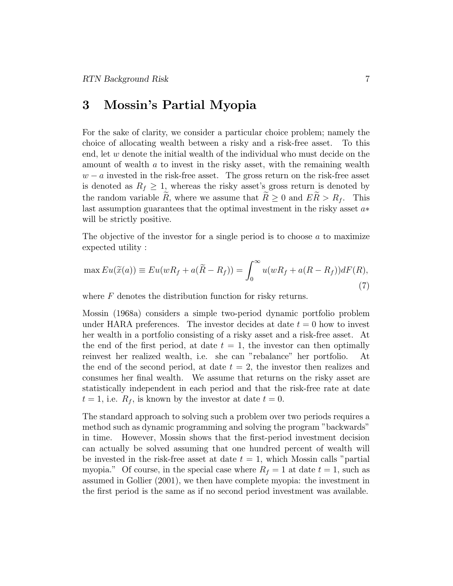#### 3 Mossin's Partial Myopia

For the sake of clarity, we consider a particular choice problem; namely the choice of allocating wealth between a risky and a risk-free asset. To this end, let  $w$  denote the initial wealth of the individual who must decide on the amount of wealth a to invest in the risky asset, with the remaining wealth  $w - a$  invested in the risk-free asset. The gross return on the risk-free asset is denoted as  $R_f \geq 1$ , whereas the risky asset's gross return is denoted by the random variable  $\tilde{R}$ , where we assume that  $\tilde{R} \geq 0$  and  $E\tilde{R} > R_f$ . This last assumption guarantees that the optimal investment in the risky asset  $a*$ will be strictly positive.

The objective of the investor for a single period is to choose  $a$  to maximize expected utility :

$$
\max Eu(\widetilde{x}(a)) \equiv Eu(wR_f + a(\widetilde{R} - R_f)) = \int_0^\infty u(wR_f + a(R - R_f))dF(R),\tag{7}
$$

where  $F$  denotes the distribution function for risky returns.

Mossin (1968a) considers a simple two-period dynamic portfolio problem under HARA preferences. The investor decides at date  $t = 0$  how to invest her wealth in a portfolio consisting of a risky asset and a risk-free asset. At the end of the first period, at date  $t = 1$ , the investor can then optimally reinvest her realized wealth, i.e. she can "rebalance" her portfolio. At the end of the second period, at date  $t = 2$ , the investor then realizes and consumes her final wealth. We assume that returns on the risky asset are statistically independent in each period and that the risk-free rate at date  $t = 1$ , i.e.  $R_f$ , is known by the investor at date  $t = 0$ .

The standard approach to solving such a problem over two periods requires a method such as dynamic programming and solving the program "backwards" in time. However, Mossin shows that the first-period investment decision can actually be solved assuming that one hundred percent of wealth will be invested in the risk-free asset at date  $t = 1$ , which Mossin calls "partial myopia." Of course, in the special case where  $R_f = 1$  at date  $t = 1$ , such as assumed in Gollier (2001), we then have complete myopia: the investment in the first period is the same as if no second period investment was available.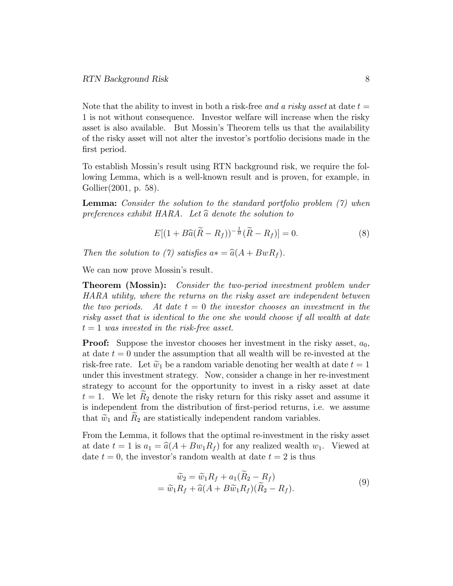Note that the ability to invest in both a risk-free and a risky asset at date  $t =$ 1 is not without consequence. Investor welfare will increase when the risky asset is also available. But Mossin's Theorem tells us that the availability of the risky asset will not alter the investor's portfolio decisions made in the first period.

To establish Mossin's result using RTN background risk, we require the following Lemma, which is a well-known result and is proven, for example, in Gollier(2001, p. 58).

Lemma: Consider the solution to the standard portfolio problem (7) when preferences exhibit HARA. Let  $\hat{a}$  denote the solution to

$$
E[(1+B\widehat{a}(\widetilde{R}-R_f))^{-\frac{1}{B}}(\widetilde{R}-R_f)]=0.
$$
\n(8)

Then the solution to (7) satisfies  $a* = \hat{a}(A + BwR_f)$ .

We can now prove Mossin's result.

**Theorem (Mossin):** Consider the two-period investment problem under HARA utility, where the returns on the risky asset are independent between the two periods. At date  $t = 0$  the investor chooses an investment in the risky asset that is identical to the one she would choose if all wealth at date  $t = 1$  was invested in the risk-free asset.

**Proof:** Suppose the investor chooses her investment in the risky asset,  $a_0$ , at date  $t = 0$  under the assumption that all wealth will be re-invested at the risk-free rate. Let  $\tilde{w}_1$  be a random variable denoting her wealth at date  $t = 1$ under this investment strategy. Now, consider a change in her re-investment strategy to account for the opportunity to invest in a risky asset at date  $t = 1$ . We let  $R_2$  denote the risky return for this risky asset and assume it is independent from the distribution of first-period returns, i.e. we assume that  $\tilde{w}_1$  and  $R_2$  are statistically independent random variables.

From the Lemma, it follows that the optimal re-investment in the risky asset at date  $t = 1$  is  $a_1 = \hat{a}(A + Bw_1R_f)$  for any realized wealth  $w_1$ . Viewed at date  $t = 0$ , the investor's random wealth at date  $t = 2$  is thus

$$
\widetilde{w}_2 = \widetilde{w}_1 R_f + a_1 (R_2 - R_f) \n= \widetilde{w}_1 R_f + \widehat{a} (A + B \widetilde{w}_1 R_f) (\widetilde{R}_2 - R_f).
$$
\n(9)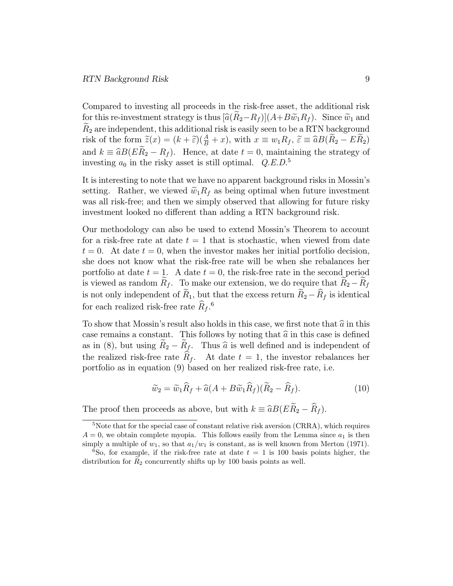Compared to investing all proceeds in the risk-free asset, the additional risk for this re-investment strategy is thus  $[\widehat{a}(R_2-R_f)](A+B\widetilde{w}_1R_f)$ . Since  $\widetilde{w}_1$  and  $R_2$  are independent, this additional risk is easily seen to be a RTN background risk of the form  $\widetilde{z}(x) = (k + \widetilde{\epsilon})(\frac{A}{B} + x)$ , with  $x \equiv w_1 R_f$ ,  $\widetilde{\epsilon} \equiv \widehat{a}B(\widetilde{R}_2 - E\widetilde{R}_2)$ and  $k \equiv \hat{a}B(ER_2 - R_f)$ . Hence, at date  $t = 0$ , maintaining the strategy of investing  $a_0$  in the risky asset is still optimal.  $Q.E.D.^5$ 

It is interesting to note that we have no apparent background risks in Mossin's setting. Rather, we viewed  $\tilde{w}_1R_f$  as being optimal when future investment was all risk-free; and then we simply observed that allowing for future risky investment looked no different than adding a RTN background risk.

Our methodology can also be used to extend Mossin's Theorem to account for a risk-free rate at date  $t = 1$  that is stochastic, when viewed from date  $t = 0$ . At date  $t = 0$ , when the investor makes her initial portfolio decision, she does not know what the risk-free rate will be when she rebalances her portfolio at date  $t = 1$ . A date  $t = 0$ , the risk-free rate in the second period is viewed as random  $R_f$ . To make our extension, we do require that  $R_2 - R_f$ is not only independent of  $\widetilde{R}_1$ , but that the excess return  $\widetilde{R}_2 - \widehat{R}_f$  is identical for each realized risk-free rate  $\hat{R}_f$ .<sup>6</sup>

To show that Mossin's result also holds in this case, we first note that  $\hat{a}$  in this case remains a constant. This follows by noting that  $\hat{a}$  in this case is defined as in (8), but using  $R_2 - R_f$ . Thus  $\hat{a}$  is well defined and is independent of the realized risk-free rate  $R_f$ . At date  $t = 1$ , the investor rebalances her portfolio as in equation (9) based on her realized risk-free rate, i.e.

$$
\widetilde{w}_2 = \widetilde{w}_1 \widehat{R}_f + \widehat{a}(A + B\widetilde{w}_1 \widehat{R}_f)(\widetilde{R}_2 - \widehat{R}_f).
$$
\n(10)

The proof then proceeds as above, but with  $k = \hat{a}B(E\tilde{R}_2 - \hat{R}_f)$ .

<sup>&</sup>lt;sup>5</sup>Note that for the special case of constant relative risk aversion (CRRA), which requires  $A = 0$ , we obtain complete myopia. This follows easily from the Lemma since  $a_1$  is then simply a multiple of  $w_1$ , so that  $a_1/w_1$  is constant, as is well known from Merton (1971).

<sup>&</sup>lt;sup>6</sup>So, for example, if the risk-free rate at date  $t = 1$  is 100 basis points higher, the distribution for  $R_2$  concurrently shifts up by 100 basis points as well.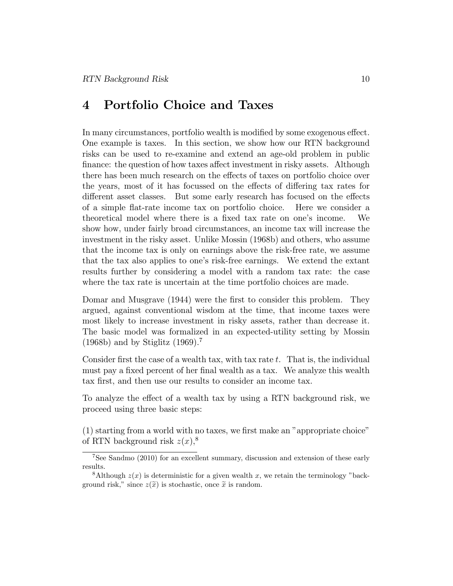## 4 Portfolio Choice and Taxes

In many circumstances, portfolio wealth is modified by some exogenous effect. One example is taxes. In this section, we show how our RTN background risks can be used to re-examine and extend an age-old problem in public finance: the question of how taxes affect investment in risky assets. Although there has been much research on the effects of taxes on portfolio choice over the years, most of it has focussed on the effects of differing tax rates for different asset classes. But some early research has focused on the effects of a simple 
at-rate income tax on portfolio choice. Here we consider a theoretical model where there is a fixed tax rate on one's income. We show how, under fairly broad circumstances, an income tax will increase the investment in the risky asset. Unlike Mossin (1968b) and others, who assume that the income tax is only on earnings above the risk-free rate, we assume that the tax also applies to one's risk-free earnings. We extend the extant results further by considering a model with a random tax rate: the case where the tax rate is uncertain at the time portfolio choices are made.

Domar and Musgrave (1944) were the first to consider this problem. They argued, against conventional wisdom at the time, that income taxes were most likely to increase investment in risky assets, rather than decrease it. The basic model was formalized in an expected-utility setting by Mossin  $(1968b)$  and by Stiglitz  $(1969).<sup>7</sup>$ 

Consider first the case of a wealth tax, with tax rate  $t$ . That is, the individual must pay a fixed percent of her final wealth as a tax. We analyze this wealth tax first, and then use our results to consider an income tax.

To analyze the effect of a wealth tax by using a RTN background risk, we proceed using three basic steps:

 $(1)$  starting from a world with no taxes, we first make an "appropriate choice" of RTN background risk  $z(x)$ ,<sup>8</sup>

<sup>7</sup>See Sandmo (2010) for an excellent summary, discussion and extension of these early results.

<sup>&</sup>lt;sup>8</sup>Although  $z(x)$  is deterministic for a given wealth x, we retain the terminology "background risk," since  $z(\tilde{x})$  is stochastic, once  $\tilde{x}$  is random.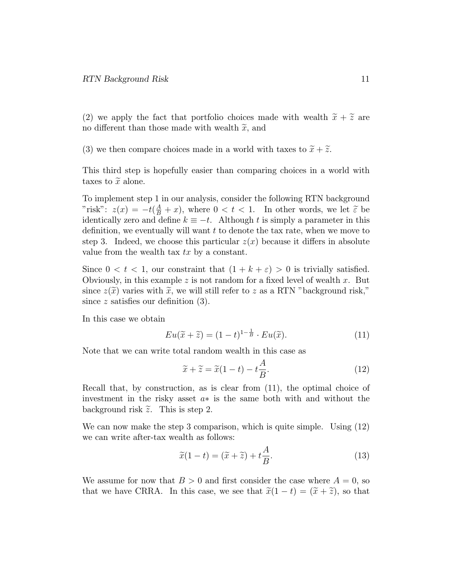(2) we apply the fact that portfolio choices made with wealth  $\tilde{x} + \tilde{z}$  are no different than those made with wealth  $\tilde{x}$ , and

(3) we then compare choices made in a world with taxes to  $\tilde{x} + \tilde{z}$ .

This third step is hopefully easier than comparing choices in a world with taxes to  $\tilde{x}$  alone.

To implement step 1 in our analysis, consider the following RTN background "risk":  $z(x) = -t(\frac{A}{B} + x)$ , where  $0 < t < 1$ . In other words, we let  $\tilde{\epsilon}$  be identically zero and define  $k \equiv -t$ . Although t is simply a parameter in this definition, we eventually will want  $t$  to denote the tax rate, when we move to step 3. Indeed, we choose this particular  $z(x)$  because it differs in absolute value from the wealth tax  $tx$  by a constant.

Since  $0 < t < 1$ , our constraint that  $(1 + k + \varepsilon) > 0$  is trivially satisfied. Obviously, in this example  $z$  is not random for a fixed level of wealth  $x$ . But since  $z(\tilde{x})$  varies with  $\tilde{x}$ , we will still refer to z as a RTN "background risk," since  $z$  satisfies our definition  $(3)$ .

In this case we obtain

$$
Eu(\widetilde{x} + \widetilde{z}) = (1 - t)^{1 - \frac{1}{B}} \cdot Eu(\widetilde{x}).
$$
\n(11)

Note that we can write total random wealth in this case as

$$
\widetilde{x} + \widetilde{z} = \widetilde{x}(1 - t) - t\frac{A}{B}.\tag{12}
$$

Recall that, by construction, as is clear from (11), the optimal choice of investment in the risky asset  $a*$  is the same both with and without the background risk  $\tilde{z}$ . This is step 2.

We can now make the step 3 comparison, which is quite simple. Using (12) we can write after-tax wealth as follows:

$$
\widetilde{x}(1-t) = (\widetilde{x} + \widetilde{z}) + t\frac{A}{B}.\tag{13}
$$

We assume for now that  $B > 0$  and first consider the case where  $A = 0$ , so that we have CRRA. In this case, we see that  $\tilde{x}(1-t) = (\tilde{x} + \tilde{z})$ , so that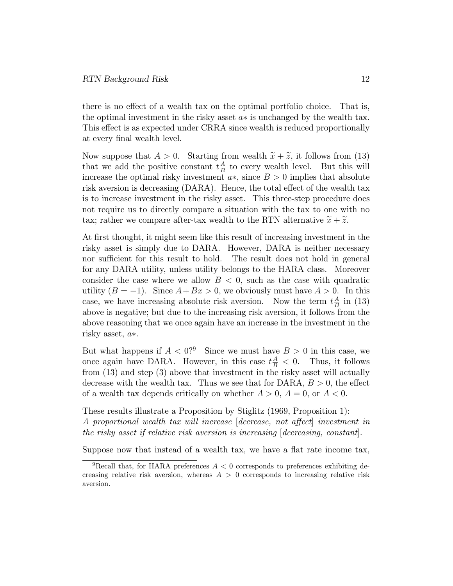there is no effect of a wealth tax on the optimal portfolio choice. That is, the optimal investment in the risky asset  $a*$  is unchanged by the wealth tax. This effect is as expected under CRRA since wealth is reduced proportionally at every final wealth level.

Now suppose that  $A > 0$ . Starting from wealth  $\tilde{x} + \tilde{z}$ , it follows from (13) that we add the positive constant  $t\frac{A}{B}$  $\frac{A}{B}$  to every wealth level. But this will increase the optimal risky investment  $a*,$  since  $B > 0$  implies that absolute risk aversion is decreasing  $(DARA)$ . Hence, the total effect of the wealth tax is to increase investment in the risky asset. This three-step procedure does not require us to directly compare a situation with the tax to one with no tax; rather we compare after-tax wealth to the RTN alternative  $\tilde{x} + \tilde{z}$ .

At first thought, it might seem like this result of increasing investment in the risky asset is simply due to DARA. However, DARA is neither necessary nor sufficient for this result to hold. The result does not hold in general for any DARA utility, unless utility belongs to the HARA class. Moreover consider the case where we allow  $B < 0$ , such as the case with quadratic utility  $(B = -1)$ . Since  $A + Bx > 0$ , we obviously must have  $A > 0$ . In this case, we have increasing absolute risk aversion. Now the term  $t\frac{A}{B}$  $\frac{A}{B}$  in (13) above is negative; but due to the increasing risk aversion, it follows from the above reasoning that we once again have an increase in the investment in the risky asset,  $a*$ .

But what happens if  $A < 0$ ?<sup>9</sup> Since we must have  $B > 0$  in this case, we once again have DARA. However, in this case  $t^{\frac{A}{B}} < 0$ . Thus, it follows from (13) and step (3) above that investment in the risky asset will actually decrease with the wealth tax. Thus we see that for DARA,  $B > 0$ , the effect of a wealth tax depends critically on whether  $A > 0$ ,  $A = 0$ , or  $A < 0$ .

These results illustrate a Proposition by Stiglitz (1969, Proposition 1): A proportional wealth tax will increase  $\lceil$  decrease, not affect investment in the risky asset if relative risk aversion is increasing  $\alpha$  [decreasing, constant].

Suppose now that instead of a wealth tax, we have a flat rate income tax,

<sup>&</sup>lt;sup>9</sup>Recall that, for HARA preferences  $A < 0$  corresponds to preferences exhibiting decreasing relative risk aversion, whereas  $A > 0$  corresponds to increasing relative risk aversion.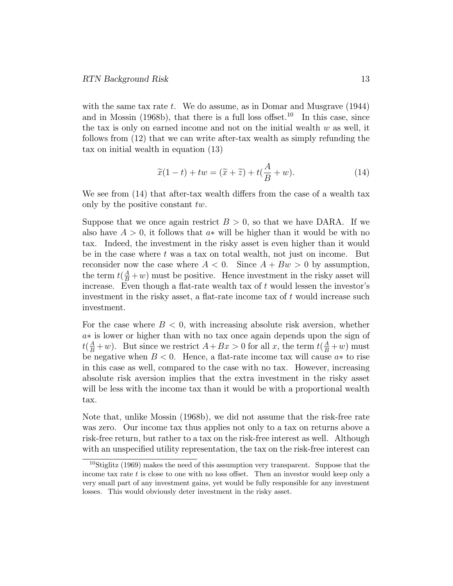with the same tax rate t. We do assume, as in Domar and Musgrave (1944) and in Mossin (1968b), that there is a full loss offset.<sup>10</sup> In this case, since the tax is only on earned income and not on the initial wealth  $w$  as well, it follows from (12) that we can write after-tax wealth as simply refunding the tax on initial wealth in equation (13)

$$
\widetilde{x}(1-t) + tw = (\widetilde{x} + \widetilde{z}) + t(\frac{A}{B} + w). \tag{14}
$$

We see from  $(14)$  that after-tax wealth differs from the case of a wealth tax only by the positive constant tw.

Suppose that we once again restrict  $B > 0$ , so that we have DARA. If we also have  $A > 0$ , it follows that  $a*$  will be higher than it would be with no tax. Indeed, the investment in the risky asset is even higher than it would be in the case where  $t$  was a tax on total wealth, not just on income. But reconsider now the case where  $A < 0$ . Since  $A + Bw > 0$  by assumption, the term  $t(\frac{A}{B}+w)$  must be positive. Hence investment in the risky asset will increase. Even though a flat-rate wealth tax of  $t$  would lessen the investor's investment in the risky asset, a flat-rate income tax of  $t$  would increase such investment.

For the case where  $B < 0$ , with increasing absolute risk aversion, whether  $a*$  is lower or higher than with no tax once again depends upon the sign of  $t(\frac{A}{B}+w)$ . But since we restrict  $A+Bx > 0$  for all x, the term  $t(\frac{A}{B}+w)$  must be negative when  $B < 0$ . Hence, a flat-rate income tax will cause  $a*$  to rise in this case as well, compared to the case with no tax. However, increasing absolute risk aversion implies that the extra investment in the risky asset will be less with the income tax than it would be with a proportional wealth tax.

Note that, unlike Mossin (1968b), we did not assume that the risk-free rate was zero. Our income tax thus applies not only to a tax on returns above a risk-free return, but rather to a tax on the risk-free interest as well. Although with an unspecified utility representation, the tax on the risk-free interest can

 $10$ Stiglitz (1969) makes the need of this assumption very transparent. Suppose that the income tax rate t is close to one with no loss offset. Then an investor would keep only a very small part of any investment gains, yet would be fully responsible for any investment losses. This would obviously deter investment in the risky asset.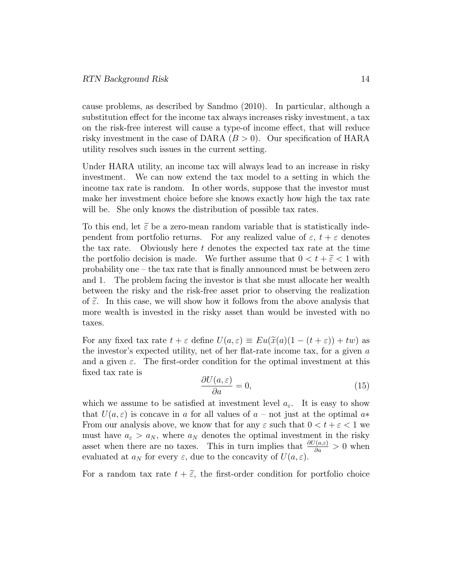cause problems, as described by Sandmo (2010). In particular, although a substitution effect for the income tax always increases risky investment, a tax on the risk-free interest will cause a type-of income effect, that will reduce risky investment in the case of DARA  $(B > 0)$ . Our specification of HARA utility resolves such issues in the current setting.

Under HARA utility, an income tax will always lead to an increase in risky investment. We can now extend the tax model to a setting in which the income tax rate is random. In other words, suppose that the investor must make her investment choice before she knows exactly how high the tax rate will be. She only knows the distribution of possible tax rates.

To this end, let  $\tilde{\epsilon}$  be a zero-mean random variable that is statistically independent from portfolio returns. For any realized value of  $\varepsilon$ ,  $t + \varepsilon$  denotes the tax rate. Obviously here t denotes the expected tax rate at the time the portfolio decision is made. We further assume that  $0 < t + \tilde{\varepsilon} < 1$  with probability one – the tax rate that is finally announced must be between zero and 1. The problem facing the investor is that she must allocate her wealth between the risky and the risk-free asset prior to observing the realization of  $\tilde{\epsilon}$ . In this case, we will show how it follows from the above analysis that more wealth is invested in the risky asset than would be invested with no taxes.

For any fixed tax rate  $t + \varepsilon$  define  $U(a, \varepsilon) \equiv Eu(\tilde{x}(a)(1 - (t + \varepsilon)) + tw)$  as the investor's expected utility, net of her flat-rate income tax, for a given  $a$ and a given  $\varepsilon$ . The first-order condition for the optimal investment at this xed tax rate is

$$
\frac{\partial U(a,\varepsilon)}{\partial a} = 0,\t\t(15)
$$

which we assume to be satisfied at investment level  $a_{\varepsilon}$ . It is easy to show that  $U(a, \varepsilon)$  is concave in a for all values of  $a$  – not just at the optimal  $a*$ From our analysis above, we know that for any  $\varepsilon$  such that  $0 < t + \varepsilon < 1$  we must have  $a_{\varepsilon} > a_N$ , where  $a_N$  denotes the optimal investment in the risky asset when there are no taxes. This in turn implies that  $\frac{\partial U(a,\varepsilon)}{\partial a} > 0$  when evaluated at  $a_N$  for every  $\varepsilon$ , due to the concavity of  $U(a, \varepsilon)$ .

For a random tax rate  $t + \tilde{\epsilon}$ , the first-order condition for portfolio choice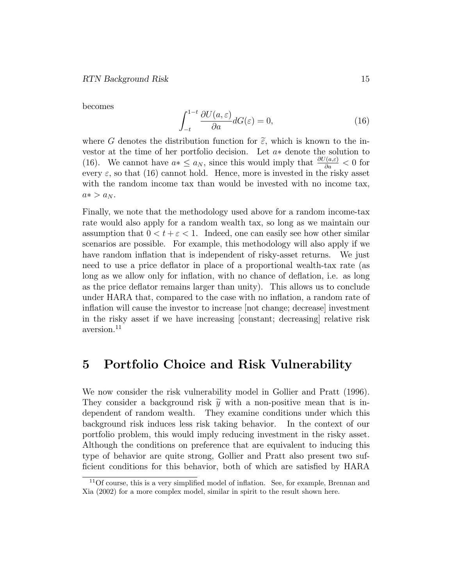becomes

$$
\int_{-t}^{1-t} \frac{\partial U(a,\varepsilon)}{\partial a} dG(\varepsilon) = 0,\tag{16}
$$

where G denotes the distribution function for  $\tilde{\varepsilon}$ , which is known to the investor at the time of her portfolio decision. Let  $a*$  denote the solution to (16). We cannot have  $a* \le a_N$ , since this would imply that  $\frac{\partial U(a,\varepsilon)}{\partial a} < 0$  for every  $\varepsilon$ , so that (16) cannot hold. Hence, more is invested in the risky asset with the random income tax than would be invested with no income tax,  $a* > a_N$ .

Finally, we note that the methodology used above for a random income-tax rate would also apply for a random wealth tax, so long as we maintain our assumption that  $0 < t + \varepsilon < 1$ . Indeed, one can easily see how other similar scenarios are possible. For example, this methodology will also apply if we have random inflation that is independent of risky-asset returns. We just need to use a price deflator in place of a proportional wealth-tax rate (as long as we allow only for inflation, with no chance of deflation, i.e. as long as the price deflator remains larger than unity). This allows us to conclude under HARA that, compared to the case with no inflation, a random rate of in
ation will cause the investor to increase [not change; decrease] investment in the risky asset if we have increasing [constant; decreasing] relative risk aversion.<sup>11</sup>

#### 5 Portfolio Choice and Risk Vulnerability

We now consider the risk vulnerability model in Gollier and Pratt (1996). They consider a background risk  $\tilde{y}$  with a non-positive mean that is in-<br>dependent of random wealth. They examine conditions under which this They examine conditions under which this background risk induces less risk taking behavior. In the context of our portfolio problem, this would imply reducing investment in the risky asset. Although the conditions on preference that are equivalent to inducing this type of behavior are quite strong, Gollier and Pratt also present two suf ficient conditions for this behavior, both of which are satisfied by HARA

<sup>&</sup>lt;sup>11</sup>Of course, this is a very simplified model of inflation. See, for example, Brennan and Xia (2002) for a more complex model, similar in spirit to the result shown here.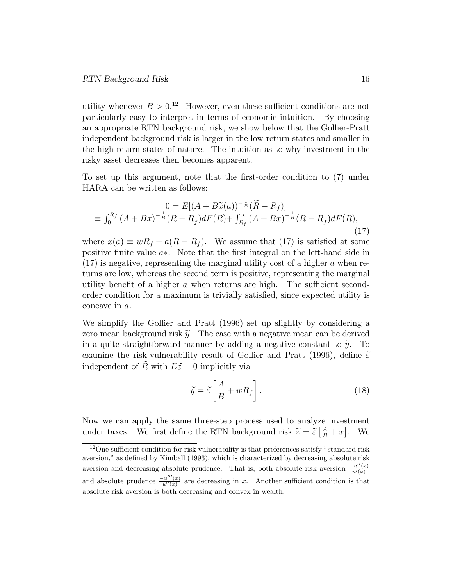utility whenever  $B > 0^{12}$  However, even these sufficient conditions are not particularly easy to interpret in terms of economic intuition. By choosing an appropriate RTN background risk, we show below that the Gollier-Pratt independent background risk is larger in the low-return states and smaller in the high-return states of nature. The intuition as to why investment in the risky asset decreases then becomes apparent.

To set up this argument, note that the first-order condition to (7) under HARA can be written as follows:

$$
0 = E[(A + B\tilde{x}(a))^{-\frac{1}{B}}(\tilde{R} - R_f)]
$$
  
\n
$$
\equiv \int_0^{R_f} (A + Bx)^{-\frac{1}{B}}(R - R_f)dF(R) + \int_{R_f}^{\infty} (A + Bx)^{-\frac{1}{B}}(R - R_f)dF(R),
$$
\n(17)

where  $x(a) \equiv wR_f + a(R - R_f)$ . We assume that (17) is satisfied at some positive finite value  $a$ \*. Note that the first integral on the left-hand side in  $(17)$  is negative, representing the marginal utility cost of a higher a when returns are low, whereas the second term is positive, representing the marginal utility benefit of a higher  $a$  when returns are high. The sufficient secondorder condition for a maximum is trivially satised, since expected utility is concave in a.

We simplify the Gollier and Pratt (1996) set up slightly by considering a zero mean background risk  $\tilde{y}$ . The case with a negative mean can be derived in a quite straightforward manner by adding a negative constant to  $\tilde{y}$ . To examine the risk-vulnerability result of Gollier and Pratt (1996), define  $\tilde{\varepsilon}$ independent of R with  $E\tilde{\epsilon}=0$  implicitly via

$$
\widetilde{y} = \widetilde{\varepsilon} \left[ \frac{A}{B} + w R_f \right]. \tag{18}
$$

Now we can apply the same three-step process used to analyze investment under taxes. We first define the RTN background risk  $\widetilde{z} = \widetilde{\varepsilon} \left[ \frac{A}{B} + x \right]$ . We

 $12$ One sufficient condition for risk vulnerability is that preferences satisfy "standard risk aversion," as dened by Kimball (1993), which is characterized by decreasing absolute risk aversion and decreasing absolute prudence. That is, both absolute risk aversion  $\frac{-u''(x)}{u'(x)}$  $u'(x)$ and absolute prudence  $\frac{-u'''(x)}{u''(x)}$  $\frac{u(x)}{u'(x)}$  are decreasing in x. Another sufficient condition is that absolute risk aversion is both decreasing and convex in wealth.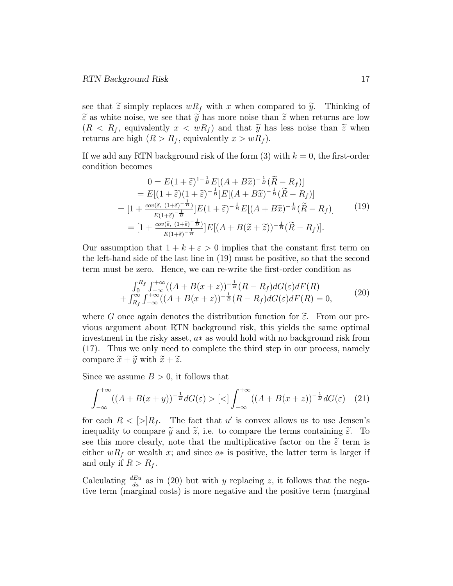see that  $\tilde{z}$  simply replaces  $wR_f$  with x when compared to  $\tilde{y}$ . Thinking of  $\tilde{\varepsilon}$  as white noise, we see that  $\tilde{y}$  has more noise than  $\tilde{z}$  when returns are low  $(R < R_f$ , equivalently  $x < wR_f$  and that  $\tilde{y}$  has less noise than  $\tilde{z}$  when returns are high  $(R > R_f$ , equivalently  $x > wR_f$ ).

If we add any RTN background risk of the form  $(3)$  with  $k = 0$ , the first-order condition becomes

$$
0 = E(1+\tilde{\varepsilon})^{1-\frac{1}{B}} E[(A+B\tilde{x})^{-\frac{1}{B}}(\tilde{R}-R_f)]
$$
  
\n
$$
= E[(1+\tilde{\varepsilon})(1+\tilde{\varepsilon})^{-\frac{1}{B}}]E[(A+B\tilde{x})^{-\frac{1}{B}}(\tilde{R}-R_f)]
$$
  
\n
$$
= [1 + \frac{cov(\tilde{\varepsilon}, (1+\tilde{\varepsilon})^{-\frac{1}{B}})}{E(1+\tilde{\varepsilon})^{-\frac{1}{B}}}]E(1+\tilde{\varepsilon})^{-\frac{1}{B}}E[(A+B\tilde{x})^{-\frac{1}{B}}(\tilde{R}-R_f)]
$$
  
\n
$$
= [1 + \frac{cov(\tilde{\varepsilon}, (1+\tilde{\varepsilon})^{-\frac{1}{B}})}{E(1+\tilde{\varepsilon})^{-\frac{1}{B}}}]E[(A+B(\tilde{x}+\tilde{z}))^{-\frac{1}{B}}(\tilde{R}-R_f)].
$$
\n(19)

Our assumption that  $1 + k + \varepsilon > 0$  implies that the constant first term on the left-hand side of the last line in (19) must be positive, so that the second term must be zero. Hence, we can re-write the first-order condition as

$$
\int_0^{R_f} \int_{-\infty}^{+\infty} ((A+B(x+z))^{-\frac{1}{B}} (R-R_f)dG(\varepsilon)dF(R) + \int_{R_f}^{\infty} \int_{-\infty}^{+\infty} ((A+B(x+z))^{-\frac{1}{B}} (R-R_f)dG(\varepsilon)dF(R) = 0,
$$
(20)

where G once again denotes the distribution function for  $\tilde{\varepsilon}$ . From our previous argument about RTN background risk, this yields the same optimal investment in the risky asset,  $a*$  as would hold with no background risk from (17). Thus we only need to complete the third step in our process, namely compare  $\widetilde{x} + \widetilde{y}$  with  $\widetilde{x} + \widetilde{z}$ .

Since we assume  $B > 0$ , it follows that

$$
\int_{-\infty}^{+\infty} ((A+B(x+y))^{-\frac{1}{B}} dG(\varepsilon) > [\langle] \int_{-\infty}^{+\infty} ((A+B(x+z))^{-\frac{1}{B}} dG(\varepsilon) \quad (21)
$$

for each  $R < [>\rangle R_f$ . The fact that u' is convex allows us to use Jensen's inequality to compare  $\widetilde{y}$  and  $\widetilde{z}$ , i.e. to compare the terms containing  $\widetilde{\varepsilon}$ . To see this more clearly, note that the multiplicative factor on the  $\tilde{\epsilon}$  term is either  $wR_f$  or wealth x; and since  $a*$  is positive, the latter term is larger if and only if  $R > R_f$ .

Calculating  $\frac{dE u}{da}$  as in (20) but with y replacing z, it follows that the negative term (marginal costs) is more negative and the positive term (marginal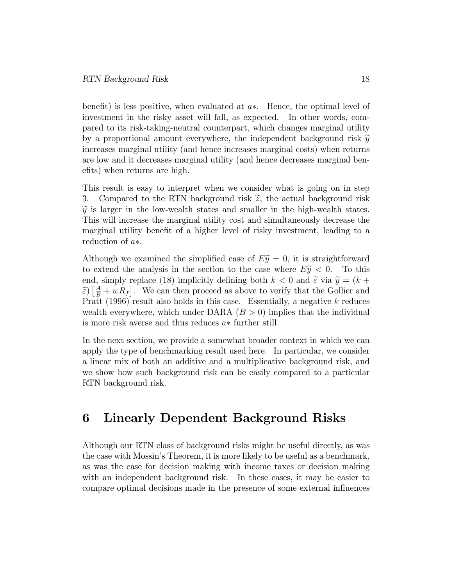benefit) is less positive, when evaluated at  $a*$ . Hence, the optimal level of investment in the risky asset will fall, as expected. In other words, compared to its risk-taking-neutral counterpart, which changes marginal utility by a proportional amount everywhere, the independent background risk  $\tilde{y}$ increases marginal utility (and hence increases marginal costs) when returns are low and it decreases marginal utility (and hence decreases marginal benefits) when returns are high.

This result is easy to interpret when we consider what is going on in step 3. Compared to the RTN background risk  $\tilde{z}$ , the actual background risk  $\tilde{y}$  is larger in the low-wealth states and smaller in the high-wealth states. This will increase the marginal utility cost and simultaneously decrease the marginal utility benefit of a higher level of risky investment, leading to a reduction of  $a*$ .

Although we examined the simplified case of  $E\tilde{y} = 0$ , it is straightforward to extend the analysis in the section to the case where  $E\tilde{y} < 0$ . To this to extend the analysis in the section to the case where  $E\tilde{y} < 0$ . end, simply replace (18) implicitly defining both  $k < 0$  and  $\tilde{\varepsilon}$  via  $\tilde{y} = (k +$  $\widetilde{\epsilon}$ )  $\left[\frac{A}{B} + wR_f\right]$ . We can then proceed as above to verify that the Gollier and Pratt (1996) result also holds in this case. Essentially, a negative k reduces wealth everywhere, which under DARA  $(B > 0)$  implies that the individual is more risk averse and thus reduces  $a*$  further still.

In the next section, we provide a somewhat broader context in which we can apply the type of benchmarking result used here. In particular, we consider a linear mix of both an additive and a multiplicative background risk, and we show how such background risk can be easily compared to a particular RTN background risk.

#### 6 Linearly Dependent Background Risks

Although our RTN class of background risks might be useful directly, as was the case with Mossin's Theorem, it is more likely to be useful as a benchmark, as was the case for decision making with income taxes or decision making with an independent background risk. In these cases, it may be easier to compare optimal decisions made in the presence of some external influences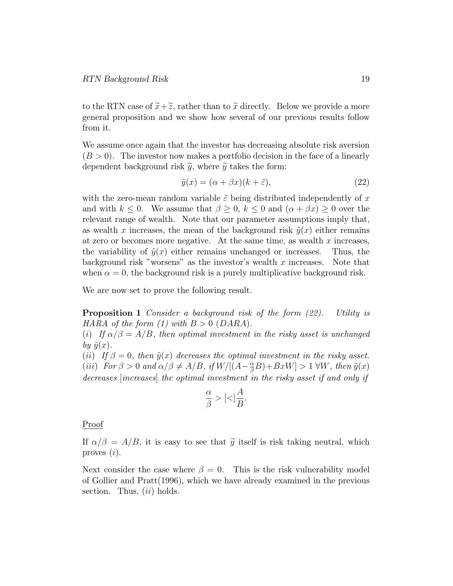to the RTN case of  $\tilde{x}+\tilde{z}$ , rather than to  $\tilde{x}$  directly. Below we provide a more general proposition and we show how several of our previous results follow from it.

We assume once again that the investor has decreasing absolute risk aversion  $(B > 0)$ . The investor now makes a portfolio decision in the face of a linearly dependent background risk  $\tilde{y}$ , where  $\tilde{y}$  takes the form:

$$
\tilde{y}(x) = (\alpha + \beta x)(k + \tilde{\varepsilon}),\tag{22}
$$

with the zero-mean random variable  $\tilde{\varepsilon}$  being distributed independently of x and with  $k \leq 0$ . We assume that  $\beta \geq 0$ ,  $k \leq 0$  and  $(\alpha + \beta x) \geq 0$  over the relevant range of wealth. Note that our parameter assumptions imply that, as wealth x increases, the mean of the background risk  $\tilde{y}(x)$  either remains at zero or becomes more negative. At the same time, as wealth  $x$  increases, the variability of  $\tilde{y}(x)$  either remains unchanged or increases. Thus, the background risk "worsens" as the investor's wealth  $x$  increases. Note that when  $\alpha = 0$ , the background risk is a purely multiplicative background risk.

We are now set to prove the following result.

**Proposition 1** Consider a background risk of the form  $(22)$ . Utility is HARA of the form (1) with  $B > 0$  (DARA).

(i) If  $\alpha/\beta = A/B$ , then optimal investment in the risky asset is unchanged by  $\tilde{y}(x)$ .

(ii) If  $\beta = 0$ , then  $\tilde{y}(x)$  decreases the optimal investment in the risky asset. (iii) For  $\beta > 0$  and  $\alpha/\beta \neq A/B$ , if  $W/[(A - \frac{\alpha}{\beta}B) + BxW] > 1 \forall W$ , then  $\tilde{y}(x)$ decreases [increases] the optimal investment in the risky asset if and only if

$$
\frac{\alpha}{\beta} > [<] \frac{A}{B}.
$$

Proof

If  $\alpha/\beta = A/B$ , it is easy to see that  $\tilde{y}$  itself is risk taking neutral, which proves (i).

Next consider the case where  $\beta = 0$ . This is the risk vulnerability model of Gollier and Pratt(1996), which we have already examined in the previous section. Thus,  $(ii)$  holds.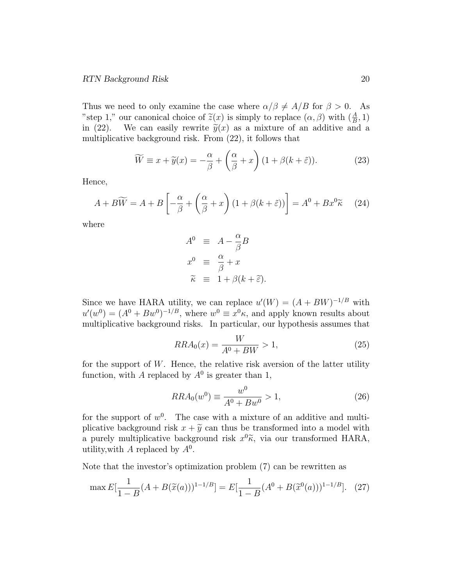Thus we need to only examine the case where  $\alpha/\beta \neq A/B$  for  $\beta > 0$ . As "step 1," our canonical choice of  $\tilde{z}(x)$  is simply to replace  $(\alpha, \beta)$  with  $(\frac{A}{B}, 1)$ in (22). We can easily rewrite  $\tilde{y}(x)$  as a mixture of an additive and a multiplicative background risk. From (22), it follows that

$$
\widetilde{W} \equiv x + \widetilde{y}(x) = -\frac{\alpha}{\beta} + \left(\frac{\alpha}{\beta} + x\right) \left(1 + \beta(k + \widetilde{\varepsilon})\right). \tag{23}
$$

Hence,

$$
A + B\widetilde{W} = A + B\left[ -\frac{\alpha}{\beta} + \left(\frac{\alpha}{\beta} + x\right)(1 + \beta(k + \tilde{\varepsilon})) \right] = A^0 + Bx^0\widetilde{\kappa} \tag{24}
$$

where

$$
A^{0} \equiv A - \frac{\alpha}{\beta}B
$$
  
\n
$$
x^{0} \equiv \frac{\alpha}{\beta} + x
$$
  
\n
$$
\tilde{\kappa} \equiv 1 + \beta(k + \tilde{\varepsilon}).
$$

Since we have HARA utility, we can replace  $u'(W) = (A + BW)^{-1/B}$  with  $u'(w^0) = (A^0 + Bw^0)^{-1/B}$ , where  $w^0 \equiv x^0 \kappa$ , and apply known results about multiplicative background risks. In particular, our hypothesis assumes that

$$
RRA_0(x) = \frac{W}{A^0 + BW} > 1,\tag{25}
$$

for the support of  $W$ . Hence, the relative risk aversion of the latter utility function, with A replaced by  $A^0$  is greater than 1,

$$
RRA_0(w^0) \equiv \frac{w^0}{A^0 + Bw^0} > 1,
$$
\n(26)

for the support of  $w^0$ . The case with a mixture of an additive and multiplicative background risk  $x + \tilde{y}$  can thus be transformed into a model with a purely multiplicative background risk  $x^0\tilde{\kappa}$ , via our transformed HARA, utility, with A replaced by  $A^0$ .

Note that the investor's optimization problem (7) can be rewritten as

$$
\max E[\frac{1}{1-B}(A+B(\tilde{x}(a)))^{1-1/B}] = E[\frac{1}{1-B}(A^0+B(\tilde{x}^0(a)))^{1-1/B}]. \quad (27)
$$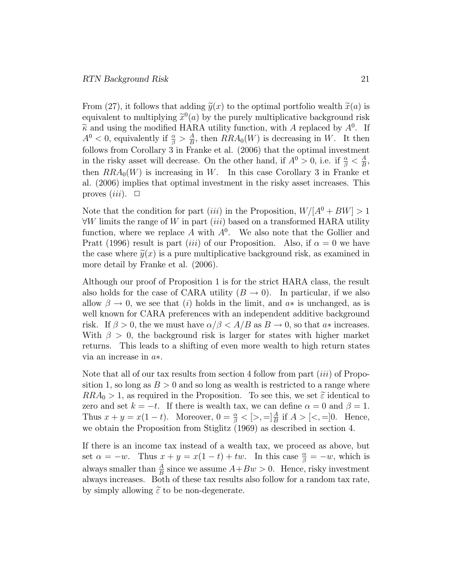From (27), it follows that adding  $\tilde{y}(x)$  to the optimal portfolio wealth  $\tilde{x}(a)$  is equivalent to multiplying  $\tilde{x}^0(a)$  by the purely multiplicative background risk  $\widetilde{\kappa}$  and using the modified HARA utility function, with A replaced by  $A^0$ . If  $A^0$  < 0, equivalently if  $\frac{\alpha}{\beta} > \frac{A}{B}$  $\frac{A}{B}$ , then  $RRA_0(W)$  is decreasing in W. It then follows from Corollary 3 in Franke et al. (2006) that the optimal investment in the risky asset will decrease. On the other hand, if  $A^0 > 0$ , i.e. if  $\frac{\alpha}{\beta} < \frac{A}{B}$  $\frac{A}{B}$ then  $RRA_0(W)$  is increasing in W. In this case Corollary 3 in Franke et al. (2006) implies that optimal investment in the risky asset increases. This proves  $(iii)$ .  $\Box$ 

Note that the condition for part *(iii)* in the Proposition,  $W/[A^0 + BW] > 1$  $\forall W$  limits the range of W in part *(iii)* based on a transformed HARA utility function, where we replace A with  $A^0$ . We also note that the Gollier and Pratt (1996) result is part *(iii)* of our Proposition. Also, if  $\alpha = 0$  we have the case where  $\tilde{y}(x)$  is a pure multiplicative background risk, as examined in more detail by Franke et al. (2006).

Although our proof of Proposition 1 is for the strict HARA class, the result also holds for the case of CARA utility  $(B \to 0)$ . In particular, if we also allow  $\beta \to 0$ , we see that (i) holds in the limit, and  $a*$  is unchanged, as is well known for CARA preferences with an independent additive background risk. If  $\beta > 0$ , the we must have  $\alpha/\beta < A/B$  as  $B \to 0$ , so that a increases. With  $\beta > 0$ , the background risk is larger for states with higher market returns. This leads to a shifting of even more wealth to high return states via an increase in  $a*$ .

Note that all of our tax results from section 4 follow from part (iii) of Proposition 1, so long as  $B > 0$  and so long as wealth is restricted to a range where  $RRA_0 > 1$ , as required in the Proposition. To see this, we set  $\tilde{\epsilon}$  identical to zero and set  $k = -t$ . If there is wealth tax, we can define  $\alpha = 0$  and  $\beta = 1$ . Thus  $x + y = x(1 - t)$ . Moreover,  $0 = \frac{\alpha}{\beta} < [>, =] \frac{A}{B}$  if  $A > [<, =] 0$ . Hence, we obtain the Proposition from Stiglitz (1969) as described in section 4.

If there is an income tax instead of a wealth tax, we proceed as above, but set  $\alpha = -w$ . Thus  $x + y = x(1 - t) + tw$ . In this case  $\frac{\alpha}{\beta} = -w$ , which is always smaller than  $\frac{A}{B}$  since we assume  $A+Bw > 0$ . Hence, risky investment always increases. Both of these tax results also follow for a random tax rate, by simply allowing  $\tilde{\varepsilon}$  to be non-degenerate.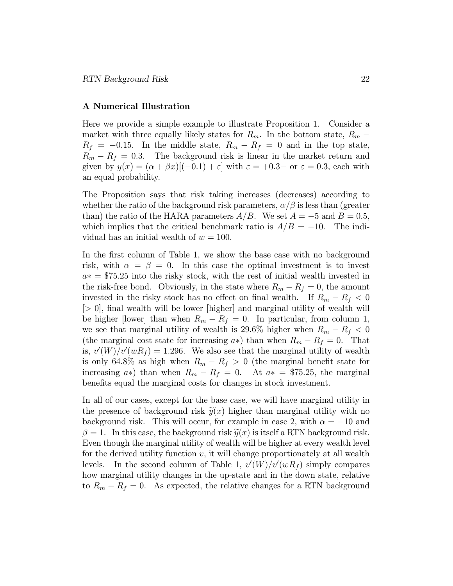#### A Numerical Illustration

Here we provide a simple example to illustrate Proposition 1. Consider a market with three equally likely states for  $R_m$ . In the bottom state,  $R_m$  –  $R_f = -0.15$ . In the middle state,  $R_m - R_f = 0$  and in the top state,  $R_m - R_f = 0.3$ . The background risk is linear in the market return and given by  $y(x) = (\alpha + \beta x)[(-0.1) + \varepsilon]$  with  $\varepsilon = +0.3$ - or  $\varepsilon = 0.3$ , each with an equal probability.

The Proposition says that risk taking increases (decreases) according to whether the ratio of the background risk parameters,  $\alpha/\beta$  is less than (greater than) the ratio of the HARA parameters  $A/B$ . We set  $A = -5$  and  $B = 0.5$ , which implies that the critical benchmark ratio is  $A/B = -10$ . The individual has an initial wealth of  $w = 100$ .

In the first column of Table 1, we show the base case with no background risk, with  $\alpha = \beta = 0$ . In this case the optimal investment is to invest  $a* = $75.25$  into the risky stock, with the rest of initial wealth invested in the risk-free bond. Obviously, in the state where  $R_m - R_f = 0$ , the amount invested in the risky stock has no effect on final wealth. If  $R_m - R_f < 0$  $|> 0|$ , final wealth will be lower  $|$ higher and marginal utility of wealth will be higher [lower] than when  $R_m - R_f = 0$ . In particular, from column 1, we see that marginal utility of wealth is 29.6% higher when  $R_m - R_f < 0$ (the marginal cost state for increasing  $a*$ ) than when  $R_m - R_f = 0$ . That is,  $v'(W)/v'(wR_f) = 1.296$ . We also see that the marginal utility of wealth is only 64.8% as high when  $R_m - R_f > 0$  (the marginal benefit state for increasing  $a*$ ) than when  $R_m - R_f = 0$ . At  $a* = $75.25$ , the marginal benefits equal the marginal costs for changes in stock investment.

In all of our cases, except for the base case, we will have marginal utility in the presence of background risk  $\tilde{y}(x)$  higher than marginal utility with no background risk. This will occur, for example in case 2, with  $\alpha = -10$  and  $\beta = 1$ . In this case, the background risk  $\tilde{y}(x)$  is itself a RTN background risk. Even though the marginal utility of wealth will be higher at every wealth level for the derived utility function  $v$ , it will change proportionately at all wealth levels. In the second column of Table 1,  $v'(W)/v'(wR_f)$  simply compares how marginal utility changes in the up-state and in the down state, relative to  $R_m - R_f = 0$ . As expected, the relative changes for a RTN background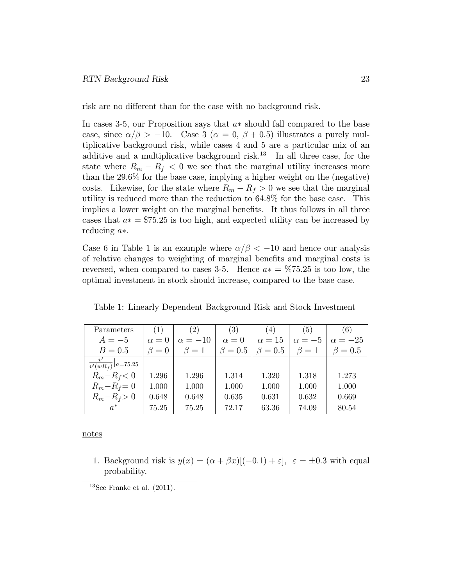risk are no different than for the case with no background risk.

In cases 3-5, our Proposition says that  $a*$  should fall compared to the base case, since  $\alpha/\beta > -10$ . Case 3 ( $\alpha = 0$ ,  $\beta + 0.5$ ) illustrates a purely multiplicative background risk, while cases 4 and 5 are a particular mix of an additive and a multiplicative background risk.<sup>13</sup> In all three case, for the state where  $R_m - R_f < 0$  we see that the marginal utility increases more than the 29.6% for the base case, implying a higher weight on the (negative) costs. Likewise, for the state where  $R_m - R_f > 0$  we see that the marginal utility is reduced more than the reduction to 64.8% for the base case. This implies a lower weight on the marginal benefits. It thus follows in all three cases that  $a* = $75.25$  is too high, and expected utility can be increased by reducing  $a*$ .

Case 6 in Table 1 is an example where  $\alpha/\beta < -10$  and hence our analysis of relative changes to weighting of marginal benets and marginal costs is reversed, when compared to cases 3-5. Hence  $a* = \frac{675.25}{15}$  is too low, the optimal investment in stock should increase, compared to the base case.

| Parameters                      | (1)         | (2)            | (3)          | (4)           | (5)           | (6)            |
|---------------------------------|-------------|----------------|--------------|---------------|---------------|----------------|
| $A=-5$                          | $\alpha=0$  | $\alpha = -10$ | $\alpha = 0$ | $\alpha = 15$ | $\alpha = -5$ | $\alpha = -25$ |
| $B=0.5$                         | $\beta = 0$ | $\beta=1$      | $\beta=0.5$  | $\beta = 0.5$ | $\beta=1$     | $\beta = 0.5$  |
| $\frac{c}{v'(wR_f)} _{a=75.25}$ |             |                |              |               |               |                |
| $R_m - R_f < 0$                 | 1.296       | 1.296          | 1.314        | 1.320         | 1.318         | 1.273          |
| $R_m - R_f = 0$                 | 1.000       | 1.000          | 1.000        | 1.000         | 1.000         | 1.000          |
| $R_m - R_f > 0$                 | 0.648       | 0.648          | 0.635        | 0.631         | 0.632         | 0.669          |
| $a^*$                           | 75.25       | 75.25          | 72.17        | 63.36         | 74.09         | 80.54          |

Table 1: Linearly Dependent Background Risk and Stock Investment

notes

1. Background risk is  $y(x) = (\alpha + \beta x)[(-0.1) + \varepsilon], \varepsilon = \pm 0.3$  with equal probability.

 $13$ See Franke et al.  $(2011)$ .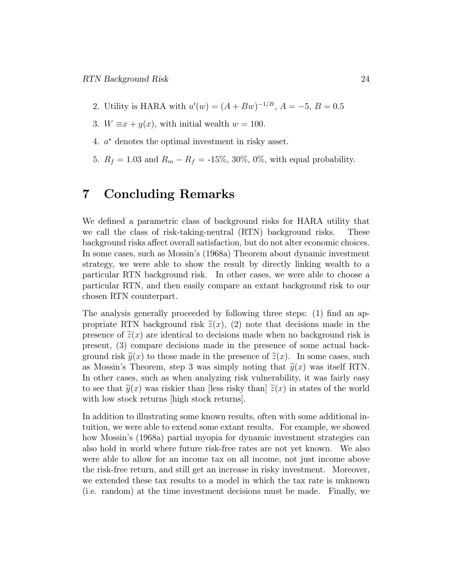- 2. Utility is HARA with  $u'(w) = (A + Bw)^{-1/B}$ ,  $A = -5$ ,  $B = 0.5$
- 3.  $W \equiv x + y(x)$ , with initial wealth  $w = 100$ .
- 4. a denotes the optimal investment in risky asset.
- 5.  $R_f = 1.03$  and  $R_m R_f = -15\%, 30\%, 0\%,$  with equal probability.

#### 7 Concluding Remarks

We defined a parametric class of background risks for HARA utility that we call the class of risk-taking-neutral (RTN) background risks. These background risks affect overall satisfaction, but do not alter economic choices. In some cases, such as Mossin's (1968a) Theorem about dynamic investment strategy, we were able to show the result by directly linking wealth to a particular RTN background risk. In other cases, we were able to choose a particular RTN, and then easily compare an extant background risk to our chosen RTN counterpart.

The analysis generally proceeded by following three steps:  $(1)$  find an appropriate RTN background risk  $\tilde{z}(x)$ , (2) note that decisions made in the presence of  $\tilde{z}(x)$  are identical to decisions made when no background risk is present, (3) compare decisions made in the presence of some actual background risk  $\tilde{y}(x)$  to those made in the presence of  $\tilde{z}(x)$ . In some cases, such as Mossin's Theorem, step 3 was simply noting that  $\tilde{y}(x)$  was itself RTN. In other cases, such as when analyzing risk vulnerability, it was fairly easy to see that  $\tilde{y}(x)$  was riskier than [less risky than]  $\tilde{z}(x)$  in states of the world with low stock returns [high stock returns].

In addition to illustrating some known results, often with some additional intuition, we were able to extend some extant results. For example, we showed how Mossin's (1968a) partial myopia for dynamic investment strategies can also hold in world where future risk-free rates are not yet known. We also were able to allow for an income tax on all income, not just income above the risk-free return, and still get an increase in risky investment. Moreover, we extended these tax results to a model in which the tax rate is unknown (i.e. random) at the time investment decisions must be made. Finally, we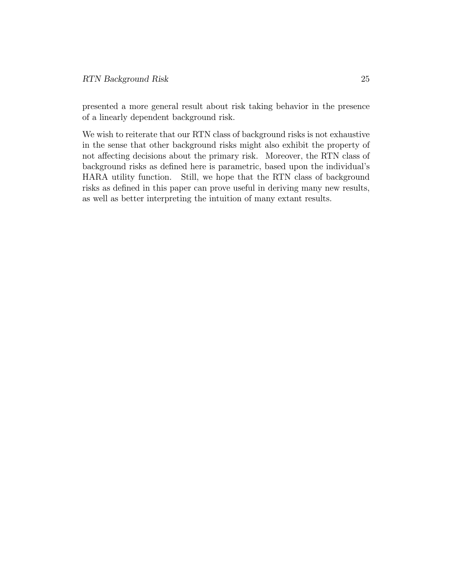presented a more general result about risk taking behavior in the presence of a linearly dependent background risk.

We wish to reiterate that our RTN class of background risks is not exhaustive in the sense that other background risks might also exhibit the property of not affecting decisions about the primary risk. Moreover, the RTN class of background risks as defined here is parametric, based upon the individual's HARA utility function. Still, we hope that the RTN class of background risks as defined in this paper can prove useful in deriving many new results, as well as better interpreting the intuition of many extant results.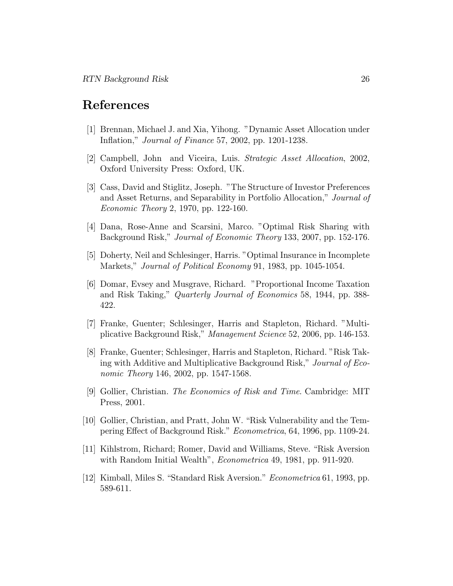## References

- [1] Brennan, Michael J. and Xia, Yihong. "Dynamic Asset Allocation under In
ation," Journal of Finance 57, 2002, pp. 1201-1238.
- [2] Campbell, John and Viceira, Luis. Strategic Asset Allocation, 2002, Oxford University Press: Oxford, UK.
- [3] Cass, David and Stiglitz, Joseph. "The Structure of Investor Preferences and Asset Returns, and Separability in Portfolio Allocation," Journal of Economic Theory 2, 1970, pp. 122-160.
- [4] Dana, Rose-Anne and Scarsini, Marco. "Optimal Risk Sharing with Background Risk," Journal of Economic Theory 133, 2007, pp. 152-176.
- [5] Doherty, Neil and Schlesinger, Harris. "Optimal Insurance in Incomplete Markets," Journal of Political Economy 91, 1983, pp. 1045-1054.
- [6] Domar, Evsey and Musgrave, Richard. "Proportional Income Taxation and Risk Taking," Quarterly Journal of Economics 58, 1944, pp. 388- 422.
- [7] Franke, Guenter; Schlesinger, Harris and Stapleton, Richard. "Multiplicative Background Risk," Management Science 52, 2006, pp. 146-153.
- [8] Franke, Guenter; Schlesinger, Harris and Stapleton, Richard. "Risk Taking with Additive and Multiplicative Background Risk," Journal of Economic Theory 146, 2002, pp. 1547-1568.
- [9] Gollier, Christian. The Economics of Risk and Time. Cambridge: MIT Press, 2001.
- [10] Gollier, Christian, and Pratt, John W. "Risk Vulnerability and the Tempering Effect of Background Risk." *Econometrica*, 64, 1996, pp. 1109-24.
- [11] Kihlstrom, Richard; Romer, David and Williams, Steve. "Risk Aversion with Random Initial Wealth", Econometrica 49, 1981, pp. 911-920.
- [12] Kimball, Miles S. "Standard Risk Aversion." *Econometrica* 61, 1993, pp. 589-611.